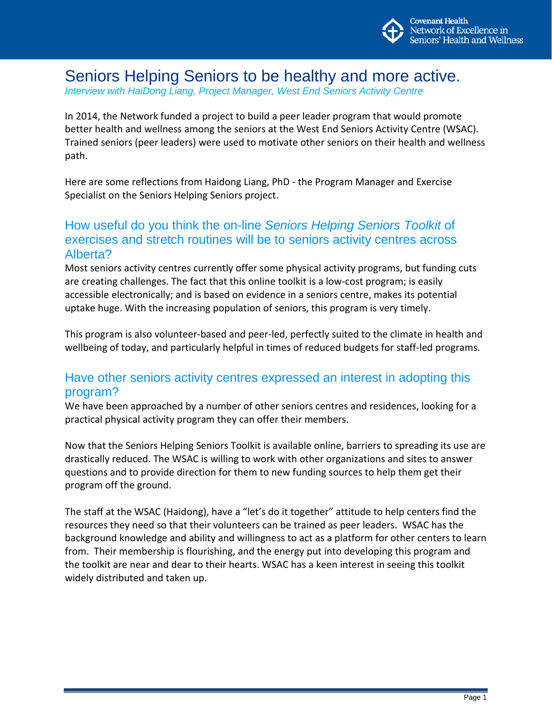

## Seniors Helping Seniors to be healthy and more active.

*Interview with HaiDong Liang, Project Manager, West End Seniors Activity Centre*

In 2014, the Network funded a project to build a peer leader program that would promote better health and wellness among the seniors at the West End Seniors Activity Centre (WSAC). Trained seniors (peer leaders) were used to motivate other seniors on their health and wellness path.

Here are some reflections from Haidong Liang, PhD - the Program Manager and Exercise Specialist on the Seniors Helping Seniors project.

## How useful do you think the on-line *Seniors Helping Seniors Toolkit* of exercises and stretch routines will be to seniors activity centres across Alberta?

Most seniors activity centres currently offer some physical activity programs, but funding cuts are creating challenges. The fact that this online toolkit is a low-cost program; is easily accessible electronically; and is based on evidence in a seniors centre, makes its potential uptake huge. With the increasing population of seniors, this program is very timely.

This program is also volunteer-based and peer-led, perfectly suited to the climate in health and wellbeing of today, and particularly helpful in times of reduced budgets for staff-led programs.

## Have other seniors activity centres expressed an interest in adopting this program?

We have been approached by a number of other seniors centres and residences, looking for a practical physical activity program they can offer their members.

Now that the Seniors Helping Seniors Toolkit is available online, barriers to spreading its use are drastically reduced. The WSAC is willing to work with other organizations and sites to answer questions and to provide direction for them to new funding sources to help them get their program off the ground.

The staff at the WSAC (Haidong), have a "let's do it together" attitude to help centers find the resources they need so that their volunteers can be trained as peer leaders. WSAC has the background knowledge and ability and willingness to act as a platform for other centers to learn from. Their membership is flourishing, and the energy put into developing this program and the toolkit are near and dear to their hearts. WSAC has a keen interest in seeing this toolkit widely distributed and taken up.